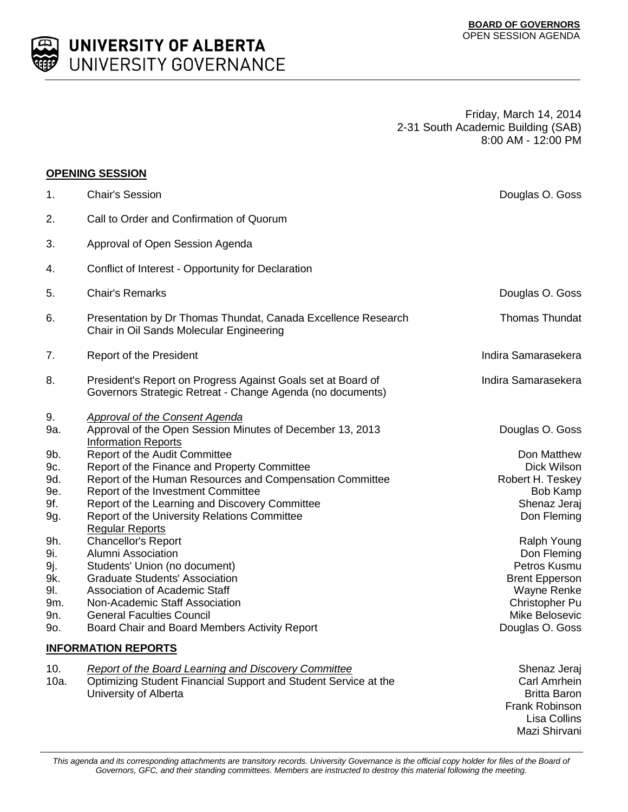

**UNIVERSITY OF ALBERTA** UNIVERSITY GOVERNANCE

> Friday, March 14, 2014 2-31 South Academic Building (SAB) 8:00 AM - 12:00 PM

|                                                                                                      | <b>OPENING SESSION</b>                                                                                                                                                                                                                                                                                                                                                                                                                                                                                                                                                                                                                                                        |                                                                                                                                                                                                                                        |
|------------------------------------------------------------------------------------------------------|-------------------------------------------------------------------------------------------------------------------------------------------------------------------------------------------------------------------------------------------------------------------------------------------------------------------------------------------------------------------------------------------------------------------------------------------------------------------------------------------------------------------------------------------------------------------------------------------------------------------------------------------------------------------------------|----------------------------------------------------------------------------------------------------------------------------------------------------------------------------------------------------------------------------------------|
| 1.                                                                                                   | <b>Chair's Session</b>                                                                                                                                                                                                                                                                                                                                                                                                                                                                                                                                                                                                                                                        | Douglas O. Goss                                                                                                                                                                                                                        |
| 2.                                                                                                   | Call to Order and Confirmation of Quorum                                                                                                                                                                                                                                                                                                                                                                                                                                                                                                                                                                                                                                      |                                                                                                                                                                                                                                        |
| 3.                                                                                                   | Approval of Open Session Agenda                                                                                                                                                                                                                                                                                                                                                                                                                                                                                                                                                                                                                                               |                                                                                                                                                                                                                                        |
| 4.                                                                                                   | Conflict of Interest - Opportunity for Declaration                                                                                                                                                                                                                                                                                                                                                                                                                                                                                                                                                                                                                            |                                                                                                                                                                                                                                        |
| 5.                                                                                                   | <b>Chair's Remarks</b>                                                                                                                                                                                                                                                                                                                                                                                                                                                                                                                                                                                                                                                        | Douglas O. Goss                                                                                                                                                                                                                        |
| 6.                                                                                                   | Presentation by Dr Thomas Thundat, Canada Excellence Research<br>Chair in Oil Sands Molecular Engineering                                                                                                                                                                                                                                                                                                                                                                                                                                                                                                                                                                     | Thomas Thundat                                                                                                                                                                                                                         |
| 7.                                                                                                   | Report of the President                                                                                                                                                                                                                                                                                                                                                                                                                                                                                                                                                                                                                                                       | Indira Samarasekera                                                                                                                                                                                                                    |
| 8.                                                                                                   | President's Report on Progress Against Goals set at Board of<br>Governors Strategic Retreat - Change Agenda (no documents)                                                                                                                                                                                                                                                                                                                                                                                                                                                                                                                                                    | Indira Samarasekera                                                                                                                                                                                                                    |
| 9.<br>9a.<br>9b.<br>9c.<br>9d.<br>9e.<br>9f.<br>9g.<br>9h.<br>9i.<br>9j.<br>9k.<br>91.<br>9m.<br>9n. | Approval of the Consent Agenda<br>Approval of the Open Session Minutes of December 13, 2013<br><b>Information Reports</b><br>Report of the Audit Committee<br>Report of the Finance and Property Committee<br>Report of the Human Resources and Compensation Committee<br>Report of the Investment Committee<br>Report of the Learning and Discovery Committee<br>Report of the University Relations Committee<br><b>Regular Reports</b><br>Chancellor's Report<br>Alumni Association<br>Students' Union (no document)<br><b>Graduate Students' Association</b><br><b>Association of Academic Staff</b><br>Non-Academic Staff Association<br><b>General Faculties Council</b> | Douglas O. Goss<br>Don Matthew<br>Dick Wilson<br>Robert H. Teskey<br>Bob Kamp<br>Shenaz Jeraj<br>Don Fleming<br>Ralph Young<br>Don Fleming<br>Petros Kusmu<br><b>Brent Epperson</b><br>Wayne Renke<br>Christopher Pu<br>Mike Belosevic |
| 9o.                                                                                                  | Board Chair and Board Members Activity Report                                                                                                                                                                                                                                                                                                                                                                                                                                                                                                                                                                                                                                 | Douglas O. Goss                                                                                                                                                                                                                        |
|                                                                                                      | <b>INFORMATION REPORTS</b>                                                                                                                                                                                                                                                                                                                                                                                                                                                                                                                                                                                                                                                    |                                                                                                                                                                                                                                        |
| 10.                                                                                                  | <b>Report of the Board Learning and Discovery Committee</b>                                                                                                                                                                                                                                                                                                                                                                                                                                                                                                                                                                                                                   | Shenaz Jeraj                                                                                                                                                                                                                           |

10a. Optimizing Student Financial Support and Student Service at the University of Alberta

Carl Amrhein Britta Baron Frank Robinson Lisa Collins Mazi Shirvani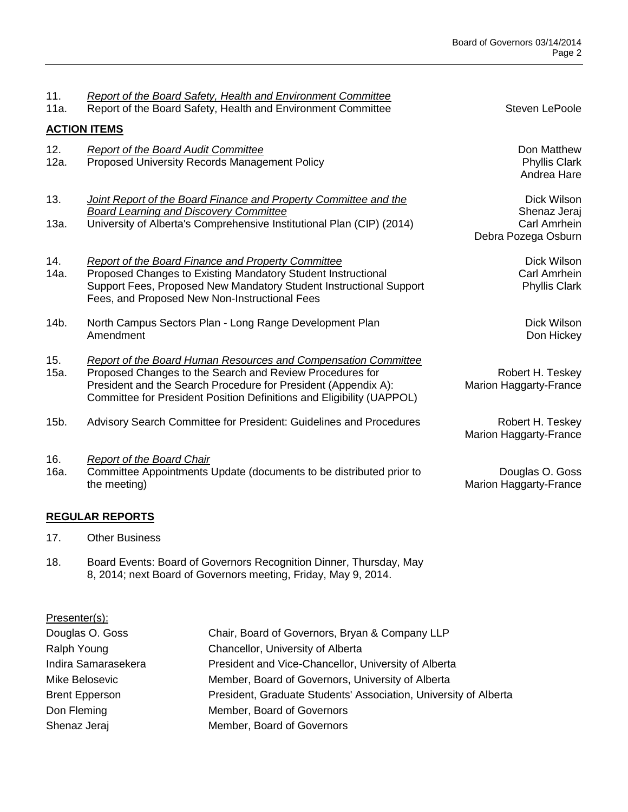| 11.<br>11a. | <b>Report of the Board Safety, Health and Environment Committee</b><br>Report of the Board Safety, Health and Environment Committee                                                                                                                                   | Steven LePoole                                                     |
|-------------|-----------------------------------------------------------------------------------------------------------------------------------------------------------------------------------------------------------------------------------------------------------------------|--------------------------------------------------------------------|
|             | <b>ACTION ITEMS</b>                                                                                                                                                                                                                                                   |                                                                    |
| 12.<br>12a. | <b>Report of the Board Audit Committee</b><br>Proposed University Records Management Policy                                                                                                                                                                           | Don Matthew<br><b>Phyllis Clark</b><br>Andrea Hare                 |
| 13.<br>13a. | Joint Report of the Board Finance and Property Committee and the<br><b>Board Learning and Discovery Committee</b><br>University of Alberta's Comprehensive Institutional Plan (CIP) (2014)                                                                            | Dick Wilson<br>Shenaz Jeraj<br>Carl Amrhein<br>Debra Pozega Osburn |
| 14.<br>14a. | <b>Report of the Board Finance and Property Committee</b><br>Proposed Changes to Existing Mandatory Student Instructional<br>Support Fees, Proposed New Mandatory Student Instructional Support<br>Fees, and Proposed New Non-Instructional Fees                      | Dick Wilson<br>Carl Amrhein<br><b>Phyllis Clark</b>                |
| 14b.        | North Campus Sectors Plan - Long Range Development Plan<br>Amendment                                                                                                                                                                                                  | Dick Wilson<br>Don Hickey                                          |
| 15.<br>15a. | Report of the Board Human Resources and Compensation Committee<br>Proposed Changes to the Search and Review Procedures for<br>President and the Search Procedure for President (Appendix A):<br>Committee for President Position Definitions and Eligibility (UAPPOL) | Robert H. Teskey<br><b>Marion Haggarty-France</b>                  |
| 15b.        | Advisory Search Committee for President: Guidelines and Procedures                                                                                                                                                                                                    | Robert H. Teskey<br><b>Marion Haggarty-France</b>                  |
| 16.<br>16a. | <b>Report of the Board Chair</b><br>Committee Appointments Update (documents to be distributed prior to<br>the meeting)                                                                                                                                               | Douglas O. Goss<br><b>Marion Haggarty-France</b>                   |

## **REGULAR REPORTS**

- 17. Other Business
- 18. Board Events: Board of Governors Recognition Dinner, Thursday, May 8, 2014; next Board of Governors meeting, Friday, May 9, 2014.

| Presenter(s):         |                                                                  |
|-----------------------|------------------------------------------------------------------|
| Douglas O. Goss       | Chair, Board of Governors, Bryan & Company LLP                   |
| Ralph Young           | Chancellor, University of Alberta                                |
| Indira Samarasekera   | President and Vice-Chancellor, University of Alberta             |
| Mike Belosevic        | Member, Board of Governors, University of Alberta                |
| <b>Brent Epperson</b> | President, Graduate Students' Association, University of Alberta |
| Don Fleming           | Member, Board of Governors                                       |
| Shenaz Jeraj          | Member, Board of Governors                                       |